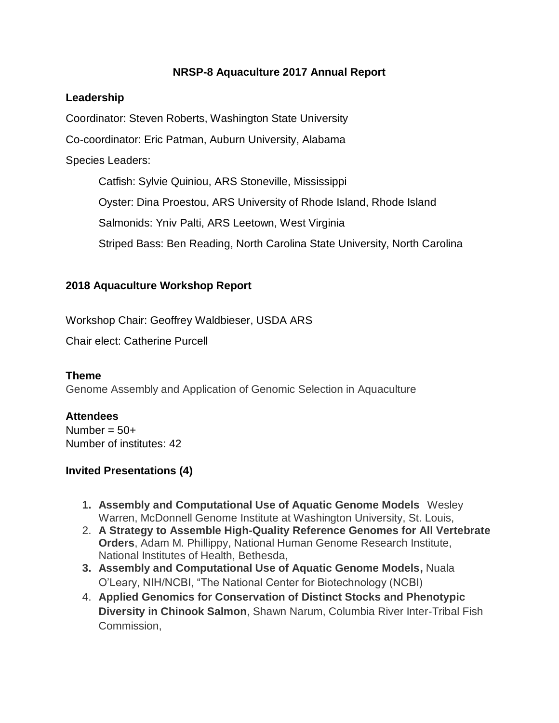## **NRSP-8 Aquaculture 2017 Annual Report**

### **Leadership**

Coordinator: Steven Roberts, Washington State University

Co-coordinator: Eric Patman, Auburn University, Alabama

### Species Leaders:

Catfish: Sylvie Quiniou, ARS Stoneville, Mississippi Oyster: Dina Proestou, ARS University of Rhode Island, Rhode Island Salmonids: Yniv Palti, ARS Leetown, West Virginia Striped Bass: Ben Reading, North Carolina State University, North Carolina

## **2018 Aquaculture Workshop Report**

Workshop Chair: Geoffrey Waldbieser, USDA ARS

Chair elect: Catherine Purcell

## **Theme**

Genome Assembly and Application of Genomic Selection in Aquaculture

## **Attendees**

Number =  $50+$ Number of institutes: 42

# **Invited Presentations (4)**

- **1. Assembly and Computational Use of Aquatic Genome Models** Wesley Warren, McDonnell Genome Institute at Washington University, St. Louis,
- 2. **A Strategy to Assemble High-Quality Reference Genomes for All Vertebrate Orders**, Adam M. Phillippy, National Human Genome Research Institute, National Institutes of Health, Bethesda,
- **3. Assembly and Computational Use of Aquatic Genome Models,** Nuala O'Leary, NIH/NCBI, "The National Center for Biotechnology (NCBI)
- 4. **Applied Genomics for Conservation of Distinct Stocks and Phenotypic Diversity in Chinook Salmon**, Shawn Narum, Columbia River Inter-Tribal Fish Commission,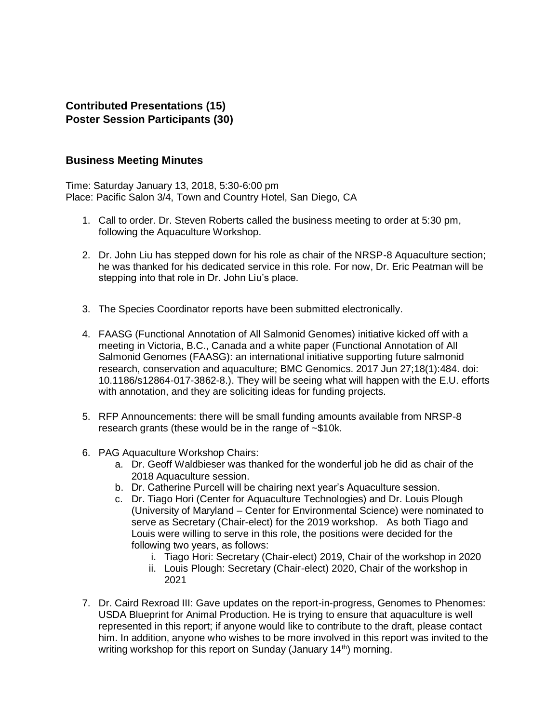### **Contributed Presentations (15) Poster Session Participants (30)**

#### **Business Meeting Minutes**

Time: Saturday January 13, 2018, 5:30-6:00 pm Place: Pacific Salon 3/4, Town and Country Hotel, San Diego, CA

- 1. Call to order. Dr. Steven Roberts called the business meeting to order at 5:30 pm, following the Aquaculture Workshop.
- 2. Dr. John Liu has stepped down for his role as chair of the NRSP-8 Aquaculture section; he was thanked for his dedicated service in this role. For now, Dr. Eric Peatman will be stepping into that role in Dr. John Liu's place.
- 3. The Species Coordinator reports have been submitted electronically.
- 4. FAASG (Functional Annotation of All Salmonid Genomes) initiative kicked off with a meeting in Victoria, B.C., Canada and a white paper (Functional Annotation of All Salmonid Genomes (FAASG): an international initiative supporting future salmonid research, conservation and aquaculture; BMC Genomics. 2017 Jun 27;18(1):484. doi: 10.1186/s12864-017-3862-8.). They will be seeing what will happen with the E.U. efforts with annotation, and they are soliciting ideas for funding projects.
- 5. RFP Announcements: there will be small funding amounts available from NRSP-8 research grants (these would be in the range of ~\$10k.
- 6. PAG Aquaculture Workshop Chairs:
	- a. Dr. Geoff Waldbieser was thanked for the wonderful job he did as chair of the 2018 Aquaculture session.
	- b. Dr. Catherine Purcell will be chairing next year's Aquaculture session.
	- c. Dr. Tiago Hori (Center for Aquaculture Technologies) and Dr. Louis Plough (University of Maryland – Center for Environmental Science) were nominated to serve as Secretary (Chair-elect) for the 2019 workshop. As both Tiago and Louis were willing to serve in this role, the positions were decided for the following two years, as follows:
		- i. Tiago Hori: Secretary (Chair-elect) 2019, Chair of the workshop in 2020
		- ii. Louis Plough: Secretary (Chair-elect) 2020, Chair of the workshop in 2021
- 7. Dr. Caird Rexroad III: Gave updates on the report-in-progress, Genomes to Phenomes: USDA Blueprint for Animal Production. He is trying to ensure that aquaculture is well represented in this report; if anyone would like to contribute to the draft, please contact him. In addition, anyone who wishes to be more involved in this report was invited to the writing workshop for this report on Sunday (January 14<sup>th</sup>) morning.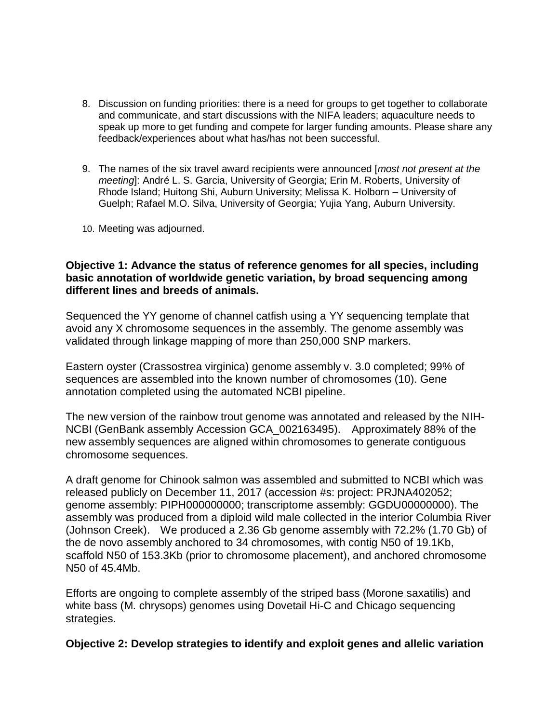- 8. Discussion on funding priorities: there is a need for groups to get together to collaborate and communicate, and start discussions with the NIFA leaders; aquaculture needs to speak up more to get funding and compete for larger funding amounts. Please share any feedback/experiences about what has/has not been successful.
- 9. The names of the six travel award recipients were announced [*most not present at the meeting*]: André L. S. Garcia, University of Georgia; Erin M. Roberts, University of Rhode Island; Huitong Shi, Auburn University; Melissa K. Holborn – University of Guelph; Rafael M.O. Silva, University of Georgia; Yujia Yang, Auburn University.
- 10. Meeting was adjourned.

#### **Objective 1: Advance the status of reference genomes for all species, including basic annotation of worldwide genetic variation, by broad sequencing among different lines and breeds of animals.**

Sequenced the YY genome of channel catfish using a YY sequencing template that avoid any X chromosome sequences in the assembly. The genome assembly was validated through linkage mapping of more than 250,000 SNP markers.

Eastern oyster (Crassostrea virginica) genome assembly v. 3.0 completed; 99% of sequences are assembled into the known number of chromosomes (10). Gene annotation completed using the automated NCBI pipeline.

The new version of the rainbow trout genome was annotated and released by the NIH-NCBI (GenBank assembly Accession GCA\_002163495). Approximately 88% of the new assembly sequences are aligned within chromosomes to generate contiguous chromosome sequences.

A draft genome for Chinook salmon was assembled and submitted to NCBI which was released publicly on December 11, 2017 (accession #s: project: PRJNA402052; genome assembly: PIPH000000000; transcriptome assembly: GGDU00000000). The assembly was produced from a diploid wild male collected in the interior Columbia River (Johnson Creek). We produced a 2.36 Gb genome assembly with 72.2% (1.70 Gb) of the de novo assembly anchored to 34 chromosomes, with contig N50 of 19.1Kb, scaffold N50 of 153.3Kb (prior to chromosome placement), and anchored chromosome N50 of 45.4Mb.

Efforts are ongoing to complete assembly of the striped bass (Morone saxatilis) and white bass (M. chrysops) genomes using Dovetail Hi-C and Chicago sequencing strategies.

**Objective 2: Develop strategies to identify and exploit genes and allelic variation**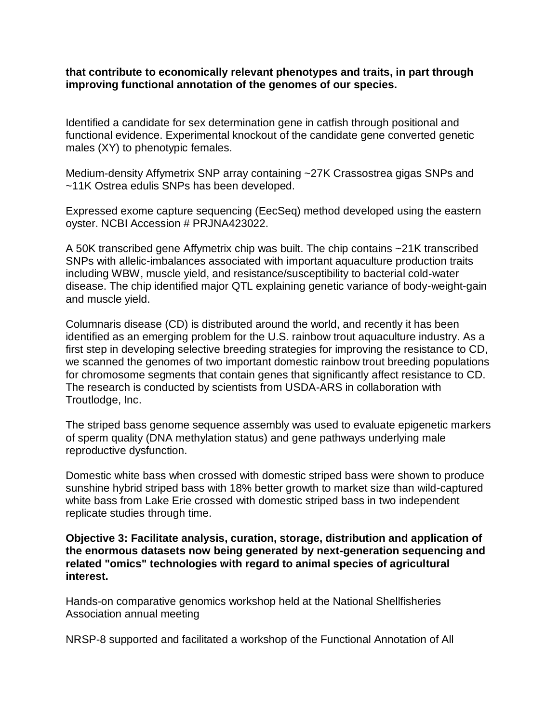**that contribute to economically relevant phenotypes and traits, in part through improving functional annotation of the genomes of our species.**

Identified a candidate for sex determination gene in catfish through positional and functional evidence. Experimental knockout of the candidate gene converted genetic males (XY) to phenotypic females.

Medium-density Affymetrix SNP array containing ~27K Crassostrea gigas SNPs and ~11K Ostrea edulis SNPs has been developed.

Expressed exome capture sequencing (EecSeq) method developed using the eastern oyster. NCBI Accession # PRJNA423022.

A 50K transcribed gene Affymetrix chip was built. The chip contains ~21K transcribed SNPs with allelic-imbalances associated with important aquaculture production traits including WBW, muscle yield, and resistance/susceptibility to bacterial cold-water disease. The chip identified major QTL explaining genetic variance of body-weight-gain and muscle yield.

Columnaris disease (CD) is distributed around the world, and recently it has been identified as an emerging problem for the U.S. rainbow trout aquaculture industry. As a first step in developing selective breeding strategies for improving the resistance to CD, we scanned the genomes of two important domestic rainbow trout breeding populations for chromosome segments that contain genes that significantly affect resistance to CD. The research is conducted by scientists from USDA-ARS in collaboration with Troutlodge, Inc.

The striped bass genome sequence assembly was used to evaluate epigenetic markers of sperm quality (DNA methylation status) and gene pathways underlying male reproductive dysfunction.

Domestic white bass when crossed with domestic striped bass were shown to produce sunshine hybrid striped bass with 18% better growth to market size than wild-captured white bass from Lake Erie crossed with domestic striped bass in two independent replicate studies through time.

**Objective 3: Facilitate analysis, curation, storage, distribution and application of the enormous datasets now being generated by next-generation sequencing and related "omics" technologies with regard to animal species of agricultural interest.**

Hands-on comparative genomics workshop held at the National Shellfisheries Association annual meeting

NRSP-8 supported and facilitated a workshop of the Functional Annotation of All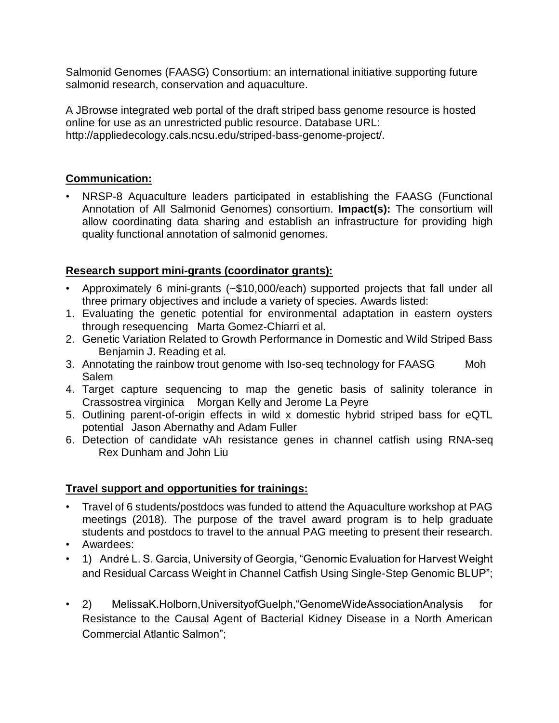Salmonid Genomes (FAASG) Consortium: an international initiative supporting future salmonid research, conservation and aquaculture.

A JBrowse integrated web portal of the draft striped bass genome resource is hosted online for use as an unrestricted public resource. Database URL: http://appliedecology.cals.ncsu.edu/striped-bass-genome-project/.

## **Communication:**

• NRSP-8 Aquaculture leaders participated in establishing the FAASG (Functional Annotation of All Salmonid Genomes) consortium. **Impact(s):** The consortium will allow coordinating data sharing and establish an infrastructure for providing high quality functional annotation of salmonid genomes.

## **Research support mini-grants (coordinator grants):**

- Approximately 6 mini-grants (~\$10,000/each) supported projects that fall under all three primary objectives and include a variety of species. Awards listed:
- 1. Evaluating the genetic potential for environmental adaptation in eastern oysters through resequencing Marta Gomez-Chiarri et al.
- 2. Genetic Variation Related to Growth Performance in Domestic and Wild Striped Bass Benjamin J. Reading et al.
- 3. Annotating the rainbow trout genome with Iso-seq technology for FAASG Moh Salem
- 4. Target capture sequencing to map the genetic basis of salinity tolerance in Crassostrea virginica Morgan Kelly and Jerome La Peyre
- 5. Outlining parent-of-origin effects in wild x domestic hybrid striped bass for eQTL potential Jason Abernathy and Adam Fuller
- 6. Detection of candidate vAh resistance genes in channel catfish using RNA-seq Rex Dunham and John Liu

## **Travel support and opportunities for trainings:**

- Travel of 6 students/postdocs was funded to attend the Aquaculture workshop at PAG meetings (2018). The purpose of the travel award program is to help graduate students and postdocs to travel to the annual PAG meeting to present their research.
- Awardees:
- 1) André L. S. Garcia, University of Georgia, "Genomic Evaluation for Harvest Weight and Residual Carcass Weight in Channel Catfish Using Single-Step Genomic BLUP";
- 2) MelissaK.Holborn,UniversityofGuelph,"GenomeWideAssociationAnalysis for Resistance to the Causal Agent of Bacterial Kidney Disease in a North American Commercial Atlantic Salmon";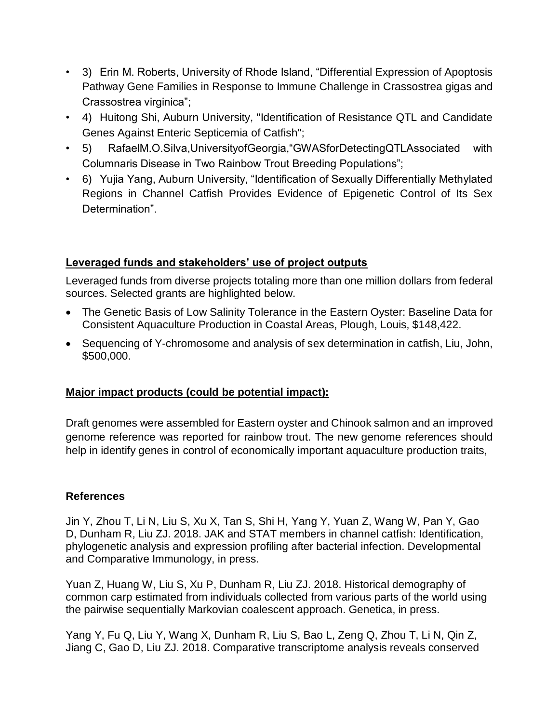- 3) Erin M. Roberts, University of Rhode Island, "Differential Expression of Apoptosis Pathway Gene Families in Response to Immune Challenge in Crassostrea gigas and Crassostrea virginica";
- 4) Huitong Shi, Auburn University, "Identification of Resistance QTL and Candidate Genes Against Enteric Septicemia of Catfish";
- 5) RafaelM.O.Silva,UniversityofGeorgia,"GWASforDetectingQTLAssociated with Columnaris Disease in Two Rainbow Trout Breeding Populations";
- 6) Yujia Yang, Auburn University, "Identification of Sexually Differentially Methylated Regions in Channel Catfish Provides Evidence of Epigenetic Control of Its Sex Determination".

## **Leveraged funds and stakeholders' use of project outputs**

Leveraged funds from diverse projects totaling more than one million dollars from federal sources. Selected grants are highlighted below.

- The Genetic Basis of Low Salinity Tolerance in the Eastern Oyster: Baseline Data for Consistent Aquaculture Production in Coastal Areas, Plough, Louis, \$148,422.
- Sequencing of Y-chromosome and analysis of sex determination in catfish, Liu, John, \$500,000.

# **Major impact products (could be potential impact):**

Draft genomes were assembled for Eastern oyster and Chinook salmon and an improved genome reference was reported for rainbow trout. The new genome references should help in identify genes in control of economically important aquaculture production traits,

## **References**

Jin Y, Zhou T, Li N, Liu S, Xu X, Tan S, Shi H, Yang Y, Yuan Z, Wang W, Pan Y, Gao D, Dunham R, Liu ZJ. 2018. JAK and STAT members in channel catfish: Identification, phylogenetic analysis and expression profiling after bacterial infection. Developmental and Comparative Immunology, in press.

Yuan Z, Huang W, Liu S, Xu P, Dunham R, Liu ZJ. 2018. Historical demography of common carp estimated from individuals collected from various parts of the world using the pairwise sequentially Markovian coalescent approach. Genetica, in press.

Yang Y, Fu Q, Liu Y, Wang X, Dunham R, Liu S, Bao L, Zeng Q, Zhou T, Li N, Qin Z, Jiang C, Gao D, Liu ZJ. 2018. Comparative transcriptome analysis reveals conserved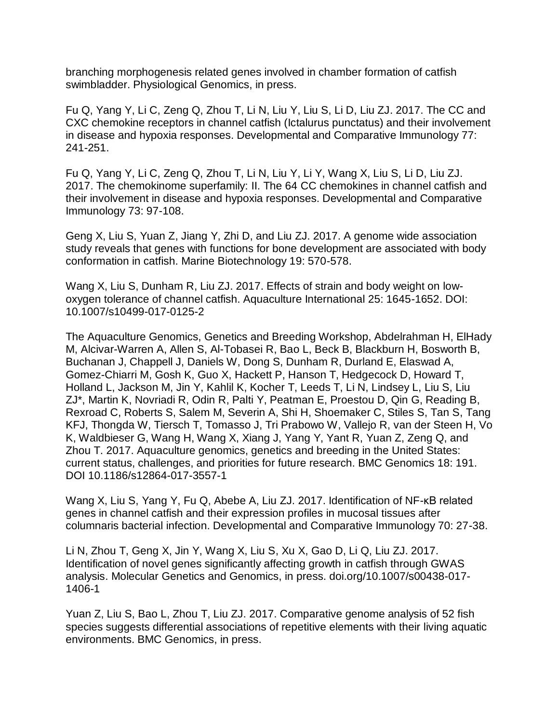branching morphogenesis related genes involved in chamber formation of catfish swimbladder. Physiological Genomics, in press.

Fu Q, Yang Y, Li C, Zeng Q, Zhou T, Li N, Liu Y, Liu S, Li D, Liu ZJ. 2017. The CC and CXC chemokine receptors in channel catfish (Ictalurus punctatus) and their involvement in disease and hypoxia responses. Developmental and Comparative Immunology 77: 241-251.

Fu Q, Yang Y, Li C, Zeng Q, Zhou T, Li N, Liu Y, Li Y, Wang X, Liu S, Li D, Liu ZJ. 2017. The chemokinome superfamily: II. The 64 CC chemokines in channel catfish and their involvement in disease and hypoxia responses. Developmental and Comparative Immunology 73: 97-108.

Geng X, Liu S, Yuan Z, Jiang Y, Zhi D, and Liu ZJ. 2017. A genome wide association study reveals that genes with functions for bone development are associated with body conformation in catfish. Marine Biotechnology 19: 570-578.

Wang X, Liu S, Dunham R, Liu ZJ. 2017. Effects of strain and body weight on lowoxygen tolerance of channel catfish. Aquaculture International 25: 1645-1652. DOI: 10.1007/s10499-017-0125-2

The Aquaculture Genomics, Genetics and Breeding Workshop, Abdelrahman H, ElHady M, Alcivar-Warren A, Allen S, Al-Tobasei R, Bao L, Beck B, Blackburn H, Bosworth B, Buchanan J, Chappell J, Daniels W, Dong S, Dunham R, Durland E, Elaswad A, Gomez-Chiarri M, Gosh K, Guo X, Hackett P, Hanson T, Hedgecock D, Howard T, Holland L, Jackson M, Jin Y, Kahlil K, Kocher T, Leeds T, Li N, Lindsey L, Liu S, Liu ZJ\*, Martin K, Novriadi R, Odin R, Palti Y, Peatman E, Proestou D, Qin G, Reading B, Rexroad C, Roberts S, Salem M, Severin A, Shi H, Shoemaker C, Stiles S, Tan S, Tang KFJ, Thongda W, Tiersch T, Tomasso J, Tri Prabowo W, Vallejo R, van der Steen H, Vo K, Waldbieser G, Wang H, Wang X, Xiang J, Yang Y, Yant R, Yuan Z, Zeng Q, and Zhou T. 2017. Aquaculture genomics, genetics and breeding in the United States: current status, challenges, and priorities for future research. BMC Genomics 18: 191. DOI 10.1186/s12864-017-3557-1

Wang X, Liu S, Yang Y, Fu Q, Abebe A, Liu ZJ. 2017. Identification of NF-κB related genes in channel catfish and their expression profiles in mucosal tissues after columnaris bacterial infection. Developmental and Comparative Immunology 70: 27-38.

Li N, Zhou T, Geng X, Jin Y, Wang X, Liu S, Xu X, Gao D, Li Q, Liu ZJ. 2017. Identification of novel genes significantly affecting growth in catfish through GWAS analysis. Molecular Genetics and Genomics, in press. doi.org/10.1007/s00438-017- 1406-1

Yuan Z, Liu S, Bao L, Zhou T, Liu ZJ. 2017. Comparative genome analysis of 52 fish species suggests differential associations of repetitive elements with their living aquatic environments. BMC Genomics, in press.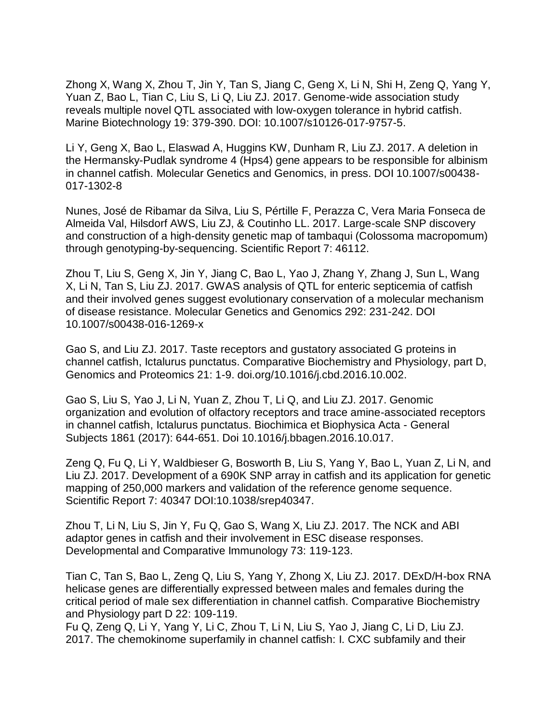Zhong X, Wang X, Zhou T, Jin Y, Tan S, Jiang C, Geng X, Li N, Shi H, Zeng Q, Yang Y, Yuan Z, Bao L, Tian C, Liu S, Li Q, Liu ZJ. 2017. Genome-wide association study reveals multiple novel QTL associated with low-oxygen tolerance in hybrid catfish. Marine Biotechnology 19: 379-390. DOI: 10.1007/s10126-017-9757-5.

Li Y, Geng X, Bao L, Elaswad A, Huggins KW, Dunham R, Liu ZJ. 2017. A deletion in the Hermansky-Pudlak syndrome 4 (Hps4) gene appears to be responsible for albinism in channel catfish. Molecular Genetics and Genomics, in press. DOI 10.1007/s00438- 017-1302-8

Nunes, José de Ribamar da Silva, Liu S, Pértille F, Perazza C, Vera Maria Fonseca de Almeida Val, Hilsdorf AWS, Liu ZJ, & Coutinho LL. 2017. Large-scale SNP discovery and construction of a high-density genetic map of tambaqui (Colossoma macropomum) through genotyping-by-sequencing. Scientific Report 7: 46112.

Zhou T, Liu S, Geng X, Jin Y, Jiang C, Bao L, Yao J, Zhang Y, Zhang J, Sun L, Wang X, Li N, Tan S, Liu ZJ. 2017. GWAS analysis of QTL for enteric septicemia of catfish and their involved genes suggest evolutionary conservation of a molecular mechanism of disease resistance. Molecular Genetics and Genomics 292: 231-242. DOI 10.1007/s00438-016-1269-x

Gao S, and Liu ZJ. 2017. Taste receptors and gustatory associated G proteins in channel catfish, Ictalurus punctatus. Comparative Biochemistry and Physiology, part D, Genomics and Proteomics 21: 1-9. doi.org/10.1016/j.cbd.2016.10.002.

Gao S, Liu S, Yao J, Li N, Yuan Z, Zhou T, Li Q, and Liu ZJ. 2017. Genomic organization and evolution of olfactory receptors and trace amine-associated receptors in channel catfish, Ictalurus punctatus. Biochimica et Biophysica Acta - General Subjects 1861 (2017): 644-651. Doi 10.1016/j.bbagen.2016.10.017.

Zeng Q, Fu Q, Li Y, Waldbieser G, Bosworth B, Liu S, Yang Y, Bao L, Yuan Z, Li N, and Liu ZJ. 2017. Development of a 690K SNP array in catfish and its application for genetic mapping of 250,000 markers and validation of the reference genome sequence. Scientific Report 7: 40347 DOI:10.1038/srep40347.

Zhou T, Li N, Liu S, Jin Y, Fu Q, Gao S, Wang X, Liu ZJ. 2017. The NCK and ABI adaptor genes in catfish and their involvement in ESC disease responses. Developmental and Comparative Immunology 73: 119-123.

Tian C, Tan S, Bao L, Zeng Q, Liu S, Yang Y, Zhong X, Liu ZJ. 2017. DExD/H-box RNA helicase genes are differentially expressed between males and females during the critical period of male sex differentiation in channel catfish. Comparative Biochemistry and Physiology part D 22: 109-119.

Fu Q, Zeng Q, Li Y, Yang Y, Li C, Zhou T, Li N, Liu S, Yao J, Jiang C, Li D, Liu ZJ. 2017. The chemokinome superfamily in channel catfish: I. CXC subfamily and their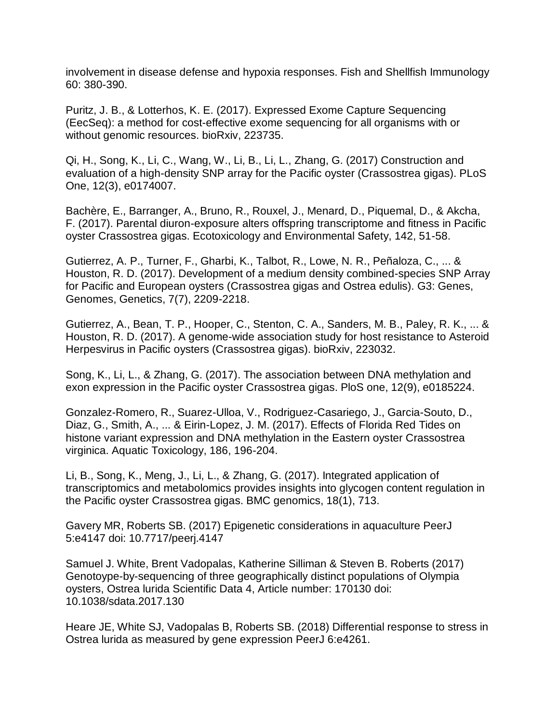involvement in disease defense and hypoxia responses. Fish and Shellfish Immunology 60: 380-390.

Puritz, J. B., & Lotterhos, K. E. (2017). Expressed Exome Capture Sequencing (EecSeq): a method for cost-effective exome sequencing for all organisms with or without genomic resources. bioRxiv, 223735.

Qi, H., Song, K., Li, C., Wang, W., Li, B., Li, L., Zhang, G. (2017) Construction and evaluation of a high-density SNP array for the Pacific oyster (Crassostrea gigas). PLoS One, 12(3), e0174007.

Bachère, E., Barranger, A., Bruno, R., Rouxel, J., Menard, D., Piquemal, D., & Akcha, F. (2017). Parental diuron-exposure alters offspring transcriptome and fitness in Pacific oyster Crassostrea gigas. Ecotoxicology and Environmental Safety, 142, 51-58.

Gutierrez, A. P., Turner, F., Gharbi, K., Talbot, R., Lowe, N. R., Peñaloza, C., ... & Houston, R. D. (2017). Development of a medium density combined-species SNP Array for Pacific and European oysters (Crassostrea gigas and Ostrea edulis). G3: Genes, Genomes, Genetics, 7(7), 2209-2218.

Gutierrez, A., Bean, T. P., Hooper, C., Stenton, C. A., Sanders, M. B., Paley, R. K., ... & Houston, R. D. (2017). A genome-wide association study for host resistance to Asteroid Herpesvirus in Pacific oysters (Crassostrea gigas). bioRxiv, 223032.

Song, K., Li, L., & Zhang, G. (2017). The association between DNA methylation and exon expression in the Pacific oyster Crassostrea gigas. PloS one, 12(9), e0185224.

Gonzalez-Romero, R., Suarez-Ulloa, V., Rodriguez-Casariego, J., Garcia-Souto, D., Diaz, G., Smith, A., ... & Eirin-Lopez, J. M. (2017). Effects of Florida Red Tides on histone variant expression and DNA methylation in the Eastern oyster Crassostrea virginica. Aquatic Toxicology, 186, 196-204.

Li, B., Song, K., Meng, J., Li, L., & Zhang, G. (2017). Integrated application of transcriptomics and metabolomics provides insights into glycogen content regulation in the Pacific oyster Crassostrea gigas. BMC genomics, 18(1), 713.

Gavery MR, Roberts SB. (2017) Epigenetic considerations in aquaculture PeerJ 5:e4147 doi: 10.7717/peerj.4147

Samuel J. White, Brent Vadopalas, Katherine Silliman & Steven B. Roberts (2017) Genotoype-by-sequencing of three geographically distinct populations of Olympia oysters, Ostrea lurida Scientific Data 4, Article number: 170130 doi: 10.1038/sdata.2017.130

Heare JE, White SJ, Vadopalas B, Roberts SB. (2018) Differential response to stress in Ostrea lurida as measured by gene expression PeerJ 6:e4261.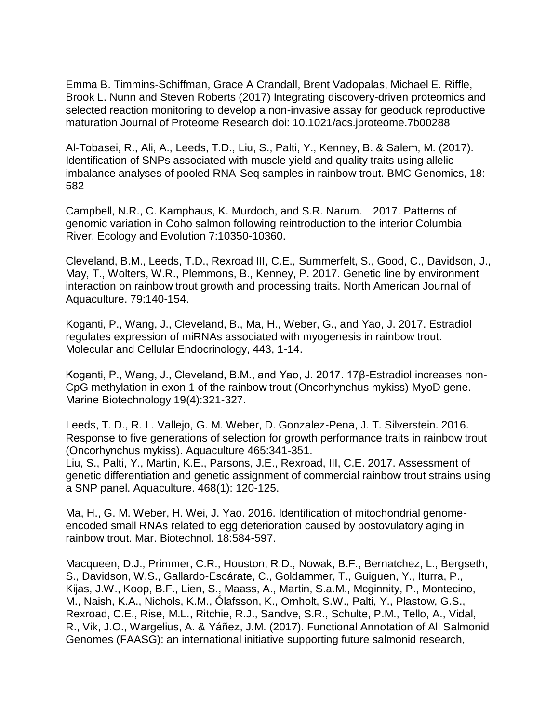Emma B. Timmins-Schiffman, Grace A Crandall, Brent Vadopalas, Michael E. Riffle, Brook L. Nunn and Steven Roberts (2017) Integrating discovery-driven proteomics and selected reaction monitoring to develop a non-invasive assay for geoduck reproductive maturation Journal of Proteome Research doi: 10.1021/acs.jproteome.7b00288

Al-Tobasei, R., Ali, A., Leeds, T.D., Liu, S., Palti, Y., Kenney, B. & Salem, M. (2017). Identification of SNPs associated with muscle yield and quality traits using allelicimbalance analyses of pooled RNA-Seq samples in rainbow trout. BMC Genomics, 18: 582

Campbell, N.R., C. Kamphaus, K. Murdoch, and S.R. Narum. 2017. Patterns of genomic variation in Coho salmon following reintroduction to the interior Columbia River. Ecology and Evolution 7:10350-10360.

Cleveland, B.M., Leeds, T.D., Rexroad III, C.E., Summerfelt, S., Good, C., Davidson, J., May, T., Wolters, W.R., Plemmons, B., Kenney, P. 2017. Genetic line by environment interaction on rainbow trout growth and processing traits. North American Journal of Aquaculture. 79:140-154.

Koganti, P., Wang, J., Cleveland, B., Ma, H., Weber, G., and Yao, J. 2017. Estradiol regulates expression of miRNAs associated with myogenesis in rainbow trout. Molecular and Cellular Endocrinology, 443, 1-14.

Koganti, P., Wang, J., Cleveland, B.M., and Yao, J. 2017. 17β-Estradiol increases non-CpG methylation in exon 1 of the rainbow trout (Oncorhynchus mykiss) MyoD gene. Marine Biotechnology 19(4):321-327.

Leeds, T. D., R. L. Vallejo, G. M. Weber, D. Gonzalez-Pena, J. T. Silverstein. 2016. Response to five generations of selection for growth performance traits in rainbow trout (Oncorhynchus mykiss). Aquaculture 465:341-351. Liu, S., Palti, Y., Martin, K.E., Parsons, J.E., Rexroad, III, C.E. 2017. Assessment of genetic differentiation and genetic assignment of commercial rainbow trout strains using

Ma, H., G. M. Weber, H. Wei, J. Yao. 2016. Identification of mitochondrial genomeencoded small RNAs related to egg deterioration caused by postovulatory aging in rainbow trout. Mar. Biotechnol. 18:584-597.

a SNP panel. Aquaculture. 468(1): 120-125.

Macqueen, D.J., Primmer, C.R., Houston, R.D., Nowak, B.F., Bernatchez, L., Bergseth, S., Davidson, W.S., Gallardo-Escárate, C., Goldammer, T., Guiguen, Y., Iturra, P., Kijas, J.W., Koop, B.F., Lien, S., Maass, A., Martin, S.a.M., Mcginnity, P., Montecino, M., Naish, K.A., Nichols, K.M., Ólafsson, K., Omholt, S.W., Palti, Y., Plastow, G.S., Rexroad, C.E., Rise, M.L., Ritchie, R.J., Sandve, S.R., Schulte, P.M., Tello, A., Vidal, R., Vik, J.O., Wargelius, A. & Yáñez, J.M. (2017). Functional Annotation of All Salmonid Genomes (FAASG): an international initiative supporting future salmonid research,